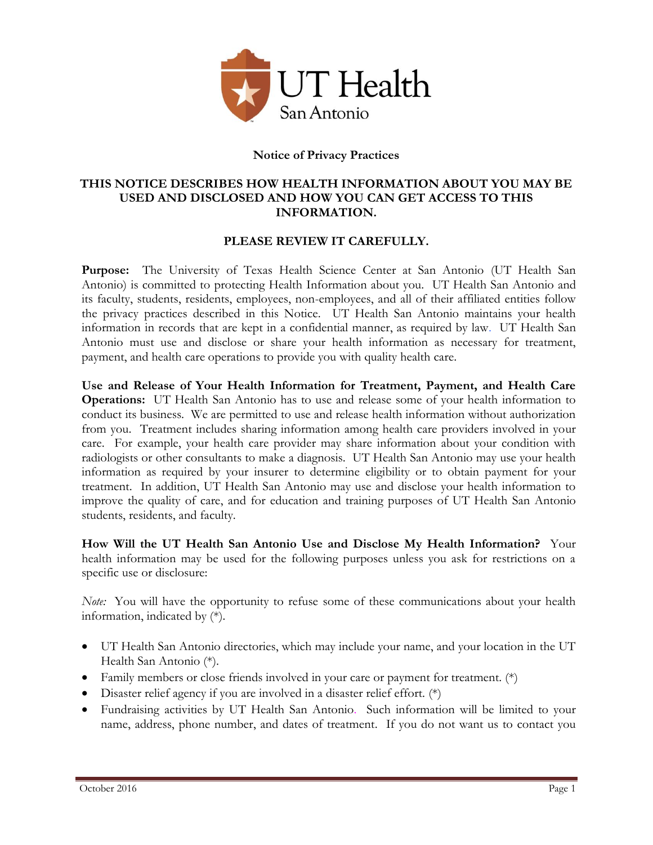

## **Notice of Privacy Practices**

## **THIS NOTICE DESCRIBES HOW HEALTH INFORMATION ABOUT YOU MAY BE USED AND DISCLOSED AND HOW YOU CAN GET ACCESS TO THIS INFORMATION.**

## **PLEASE REVIEW IT CAREFULLY.**

**Purpose:** The University of Texas Health Science Center at San Antonio (UT Health San Antonio) is committed to protecting Health Information about you. UT Health San Antonio and its faculty, students, residents, employees, non-employees, and all of their affiliated entities follow the privacy practices described in this Notice. UT Health San Antonio maintains your health information in records that are kept in a confidential manner, as required by law. UT Health San Antonio must use and disclose or share your health information as necessary for treatment, payment, and health care operations to provide you with quality health care.

**Use and Release of Your Health Information for Treatment, Payment, and Health Care Operations:** UT Health San Antonio has to use and release some of your health information to conduct its business. We are permitted to use and release health information without authorization from you. Treatment includes sharing information among health care providers involved in your care. For example, your health care provider may share information about your condition with radiologists or other consultants to make a diagnosis. UT Health San Antonio may use your health information as required by your insurer to determine eligibility or to obtain payment for your treatment. In addition, UT Health San Antonio may use and disclose your health information to improve the quality of care, and for education and training purposes of UT Health San Antonio students, residents, and faculty.

**How Will the UT Health San Antonio Use and Disclose My Health Information?** Your health information may be used for the following purposes unless you ask for restrictions on a specific use or disclosure:

*Note:* You will have the opportunity to refuse some of these communications about your health information, indicated by (\*)*.*

- UT Health San Antonio directories, which may include your name, and your location in the UT Health San Antonio (\*).
- Family members or close friends involved in your care or payment for treatment. (\*)
- Disaster relief agency if you are involved in a disaster relief effort. (\*)
- Fundraising activities by UT Health San Antonio. Such information will be limited to your name, address, phone number, and dates of treatment. If you do not want us to contact you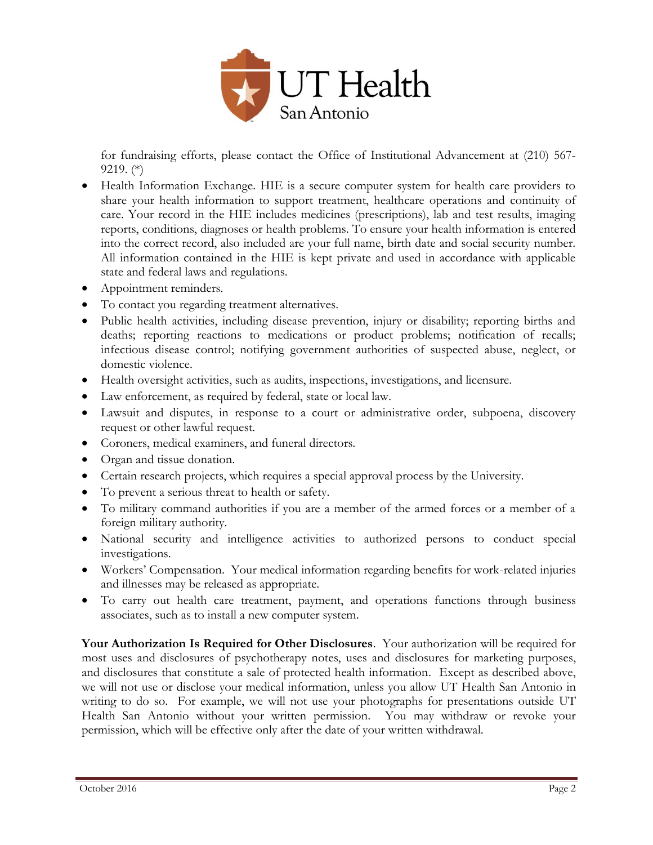

for fundraising efforts, please contact the Office of Institutional Advancement at (210) 567- 9219. (\*)

- Health Information Exchange. HIE is a secure computer system for health care providers to share your health information to support treatment, healthcare operations and continuity of care. Your record in the HIE includes medicines (prescriptions), lab and test results, imaging reports, conditions, diagnoses or health problems. To ensure your health information is entered into the correct record, also included are your full name, birth date and social security number. All information contained in the HIE is kept private and used in accordance with applicable state and federal laws and regulations.
- Appointment reminders.
- To contact you regarding treatment alternatives.
- Public health activities, including disease prevention, injury or disability; reporting births and deaths; reporting reactions to medications or product problems; notification of recalls; infectious disease control; notifying government authorities of suspected abuse, neglect, or domestic violence.
- Health oversight activities, such as audits, inspections, investigations, and licensure.
- Law enforcement, as required by federal, state or local law.
- Lawsuit and disputes, in response to a court or administrative order, subpoena, discovery request or other lawful request.
- Coroners, medical examiners, and funeral directors.
- Organ and tissue donation.
- Certain research projects, which requires a special approval process by the University.
- To prevent a serious threat to health or safety.
- To military command authorities if you are a member of the armed forces or a member of a foreign military authority.
- National security and intelligence activities to authorized persons to conduct special investigations.
- Workers' Compensation. Your medical information regarding benefits for work-related injuries and illnesses may be released as appropriate.
- To carry out health care treatment, payment, and operations functions through business associates, such as to install a new computer system.

**Your Authorization Is Required for Other Disclosures**. Your authorization will be required for most uses and disclosures of psychotherapy notes, uses and disclosures for marketing purposes, and disclosures that constitute a sale of protected health information. Except as described above, we will not use or disclose your medical information, unless you allow UT Health San Antonio in writing to do so. For example, we will not use your photographs for presentations outside UT Health San Antonio without your written permission. You may withdraw or revoke your permission, which will be effective only after the date of your written withdrawal.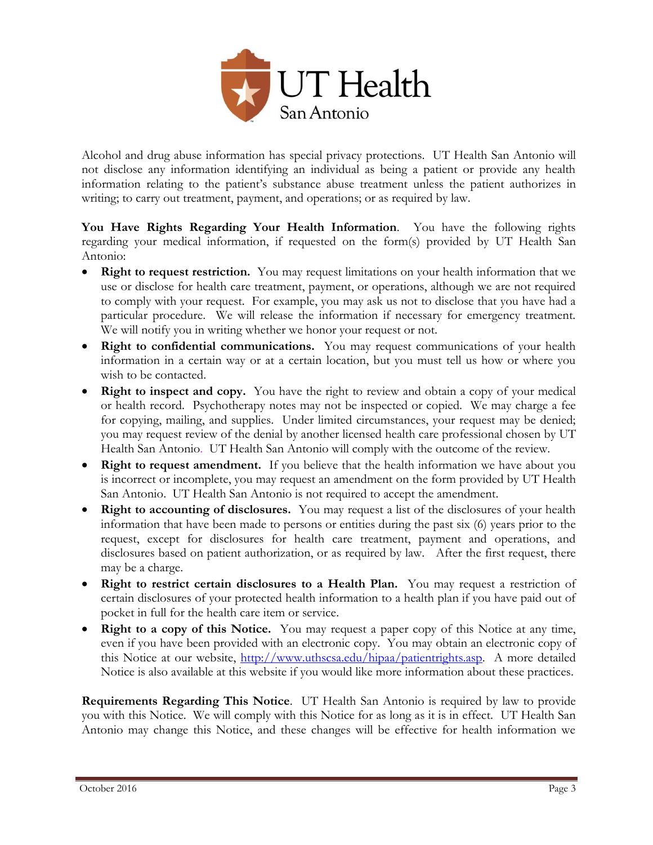

Alcohol and drug abuse information has special privacy protections. UT Health San Antonio will not disclose any information identifying an individual as being a patient or provide any health information relating to the patient's substance abuse treatment unless the patient authorizes in writing; to carry out treatment, payment, and operations; or as required by law.

**You Have Rights Regarding Your Health Information**. You have the following rights regarding your medical information, if requested on the form(s) provided by UT Health San Antonio:

- **Right to request restriction.** You may request limitations on your health information that we use or disclose for health care treatment, payment, or operations, although we are not required to comply with your request. For example, you may ask us not to disclose that you have had a particular procedure. We will release the information if necessary for emergency treatment. We will notify you in writing whether we honor your request or not.
- **Right to confidential communications.** You may request communications of your health information in a certain way or at a certain location, but you must tell us how or where you wish to be contacted.
- **Right to inspect and copy.** You have the right to review and obtain a copy of your medical or health record. Psychotherapy notes may not be inspected or copied. We may charge a fee for copying, mailing, and supplies. Under limited circumstances, your request may be denied; you may request review of the denial by another licensed health care professional chosen by UT Health San Antonio. UT Health San Antonio will comply with the outcome of the review.
- **Right to request amendment.** If you believe that the health information we have about you is incorrect or incomplete, you may request an amendment on the form provided by UT Health San Antonio. UT Health San Antonio is not required to accept the amendment.
- **Right to accounting of disclosures.** You may request a list of the disclosures of your health information that have been made to persons or entities during the past six (6) years prior to the request, except for disclosures for health care treatment, payment and operations, and disclosures based on patient authorization, or as required by law. After the first request, there may be a charge.
- **Right to restrict certain disclosures to a Health Plan.** You may request a restriction of certain disclosures of your protected health information to a health plan if you have paid out of pocket in full for the health care item or service.
- **Right to a copy of this Notice.** You may request a paper copy of this Notice at any time, even if you have been provided with an electronic copy. You may obtain an electronic copy of this Notice at our website, [http://www.uthscsa.edu/hipaa/patientrights.asp.](http://www.uthscsa.edu/hipaa/patientrights.asp) A more detailed Notice is also available at this website if you would like more information about these practices.

**Requirements Regarding This Notice**. UT Health San Antonio is required by law to provide you with this Notice. We will comply with this Notice for as long as it is in effect. UT Health San Antonio may change this Notice, and these changes will be effective for health information we